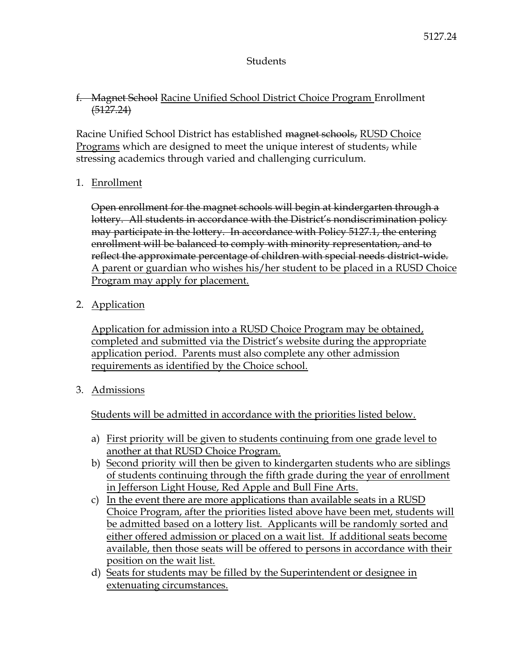## Students

## f. Magnet School Racine Unified School District Choice Program Enrollment  $(5127.24)$

Racine Unified School District has established magnet schools, RUSD Choice Programs which are designed to meet the unique interest of students, while stressing academics through varied and challenging curriculum.

# 1. Enrollment

Open enrollment for the magnet schools will begin at kindergarten through a lottery. All students in accordance with the District's nondiscrimination policy may participate in the lottery. In accordance with Policy 5127.1, the entering enrollment will be balanced to comply with minority representation, and to reflect the approximate percentage of children with special needs district-wide. A parent or guardian who wishes his/her student to be placed in a RUSD Choice Program may apply for placement.

2. Application

Application for admission into a RUSD Choice Program may be obtained, completed and submitted via the District's website during the appropriate application period. Parents must also complete any other admission requirements as identified by the Choice school.

3. Admissions

Students will be admitted in accordance with the priorities listed below.

- a) First priority will be given to students continuing from one grade level to another at that RUSD Choice Program.
- b) Second priority will then be given to kindergarten students who are siblings of students continuing through the fifth grade during the year of enrollment in Jefferson Light House, Red Apple and Bull Fine Arts.
- c) In the event there are more applications than available seats in a RUSD Choice Program, after the priorities listed above have been met, students will be admitted based on a lottery list. Applicants will be randomly sorted and either offered admission or placed on a wait list. If additional seats become available, then those seats will be offered to persons in accordance with their position on the wait list.
- d) Seats for students may be filled by the Superintendent or designee in extenuating circumstances.